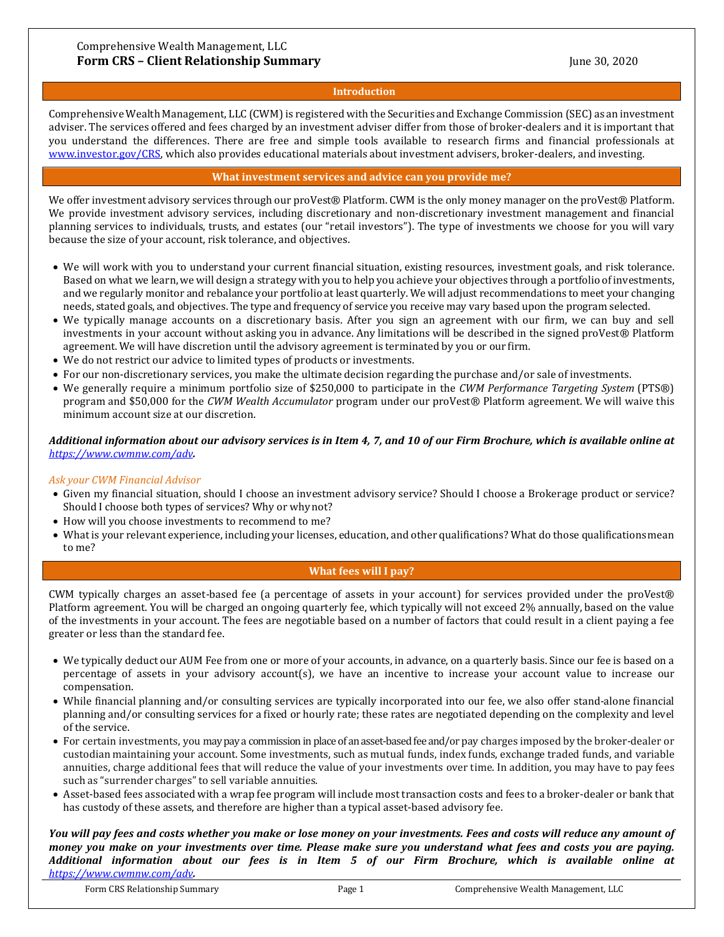#### **Introduction**

Comprehensive Wealth Management, LLC (CWM) is registered with the Securities and Exchange Commission (SEC) as an investment adviser. The services offered and fees charged by an investment adviser differ from those of broker-dealers and it is important that you understand the differences. There are free and simple tools available to research firms and financial professionals at [www.investor.gov/CRS,](http://www.investor.gov/CRS) which also provides educational materials about investment advisers, broker-dealers, and investing.

## **What investment services and advice can you provide me?**

We offer investment advisory services through our proVest® Platform. CWM is the only money manager on the proVest® Platform. We provide investment advisory services, including discretionary and non-discretionary investment management and financial planning services to individuals, trusts, and estates (our "retail investors"). The type of investments we choose for you will vary because the size of your account, risk tolerance, and objectives.

- We will work with you to understand your current financial situation, existing resources, investment goals, and risk tolerance. Based on what we learn, we will design a strategy with you to help you achieve your objectives through a portfolio of investments, and we regularly monitor and rebalance your portfolio at least quarterly. We will adjust recommendations to meet your changing needs, stated goals, and objectives. The type and frequency of service you receive may vary based upon the program selected.
- We typically manage accounts on a discretionary basis. After you sign an agreement with our firm, we can buy and sell investments in your account without asking you in advance. Any limitations will be described in the signed proVest® Platform agreement. We will have discretion until the advisory agreement is terminated by you or our firm.
- We do not restrict our advice to limited types of products or investments.
- For our non-discretionary services, you make the ultimate decision regarding the purchase and/or sale of investments.
- We generally require a minimum portfolio size of \$250,000 to participate in the *CWM Performance Targeting System* (PTS®) program and \$50,000 for the *CWM Wealth Accumulator* program under our proVest® Platform agreement. We will waive this minimum account size at our discretion.

## *Additional information about our advisory services is in Item 4, 7, and 10 of our Firm Brochure, which is available online at <https://www.cwmnw.com/adv>.*

#### *Ask your CWM Financial Advisor*

- Given my financial situation, should I choose an investment advisory service? Should I choose a Brokerage product or service? Should I choose both types of services? Why or whynot?
- How will you choose investments to recommend to me?
- What is your relevant experience, including your licenses, education, and other qualifications? What do those qualifications mean to me?

## **What fees will I pay?**

CWM typically charges an asset-based fee (a percentage of assets in your account) for services provided under the proVest® Platform agreement. You will be charged an ongoing quarterly fee, which typically will not exceed 2% annually, based on the value of the investments in your account. The fees are negotiable based on a number of factors that could result in a client paying a fee greater or less than the standard fee.

- We typically deduct our AUM Fee from one or more of your accounts, in advance, on a quarterly basis. Since our fee is based on a percentage of assets in your advisory account(s), we have an incentive to increase your account value to increase our compensation.
- While financial planning and/or consulting services are typically incorporated into our fee, we also offer stand-alone financial planning and/or consulting services for a fixed or hourly rate; these rates are negotiated depending on the complexity and level of the service.
- For certain investments, you may pay a commission in place of an asset-based fee and/or pay charges imposed by the broker-dealer or custodian maintaining your account. Some investments, such as mutual funds, index funds, exchange traded funds, and variable annuities, charge additional fees that will reduce the value of your investments over time. In addition, you may have to pay fees such as "surrender charges" to sell variable annuities.
- Asset-based fees associated with a wrap fee program will include most transaction costs and fees to a broker-dealer or bank that has custody of these assets, and therefore are higher than a typical asset-based advisory fee.

*You will pay fees and costs whether you make or lose money on your investments. Fees and costs will reduce any amount of money you make on your investments over time. Please make sure you understand what fees and costs you are paying. Additional information about our fees is in Item 5 of our Firm Brochure, which is available online at <https://www.cwmnw.com/adv>.*